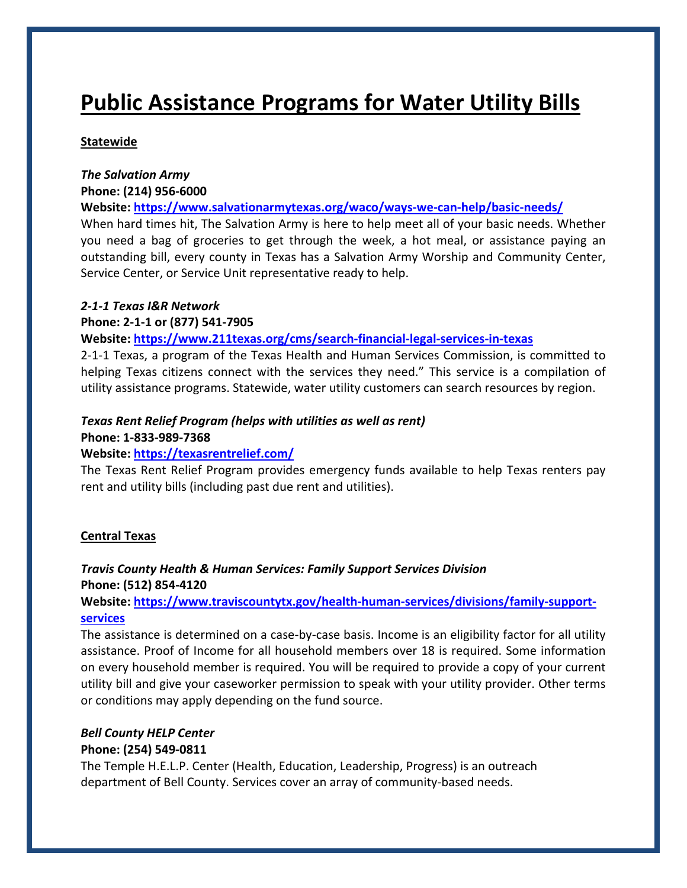# **Public Assistance Programs for Water Utility Bills**

## **Statewide**

#### *The Salvation Army* **Phone: (214) 956‐6000**

**Website: https://www.salvationarmytexas.org/waco/ways‐we‐can‐help/basic‐needs/**

When hard times hit, The Salvation Army is here to help meet all of your basic needs. Whether you need a bag of groceries to get through the week, a hot meal, or assistance paying an outstanding bill, every county in Texas has a Salvation Army Worship and Community Center, Service Center, or Service Unit representative ready to help.

## *2‐1‐1 Texas I&R Network*

## **Phone: 2‐1‐1 or (877) 541‐7905**

## **Website: https://www.211texas.org/cms/search‐financial‐legal‐services‐in‐texas**

2‐1‐1 Texas, a program of the Texas Health and Human Services Commission, is committed to helping Texas citizens connect with the services they need." This service is a compilation of utility assistance programs. Statewide, water utility customers can search resources by region.

# *Texas Rent Relief Program (helps with utilities as well as rent)*

#### **Phone: 1‐833‐989‐7368**

# **Website: https://texasrentrelief.com/**

The Texas Rent Relief Program provides emergency funds available to help Texas renters pay rent and utility bills (including past due rent and utilities).

# **Central Texas**

# *Travis County Health & Human Services: Family Support Services Division*  **Phone: (512) 854‐4120**

# **Website: https://www.traviscountytx.gov/health‐human‐services/divisions/family‐support‐ services**

The assistance is determined on a case-by-case basis. Income is an eligibility factor for all utility assistance. Proof of Income for all household members over 18 is required. Some information on every household member is required. You will be required to provide a copy of your current utility bill and give your caseworker permission to speak with your utility provider. Other terms or conditions may apply depending on the fund source.

#### *Bell County HELP Center* **Phone: (254) 549‐0811**

The Temple H.E.L.P. Center (Health, Education, Leadership, Progress) is an outreach department of Bell County. Services cover an array of community‐based needs.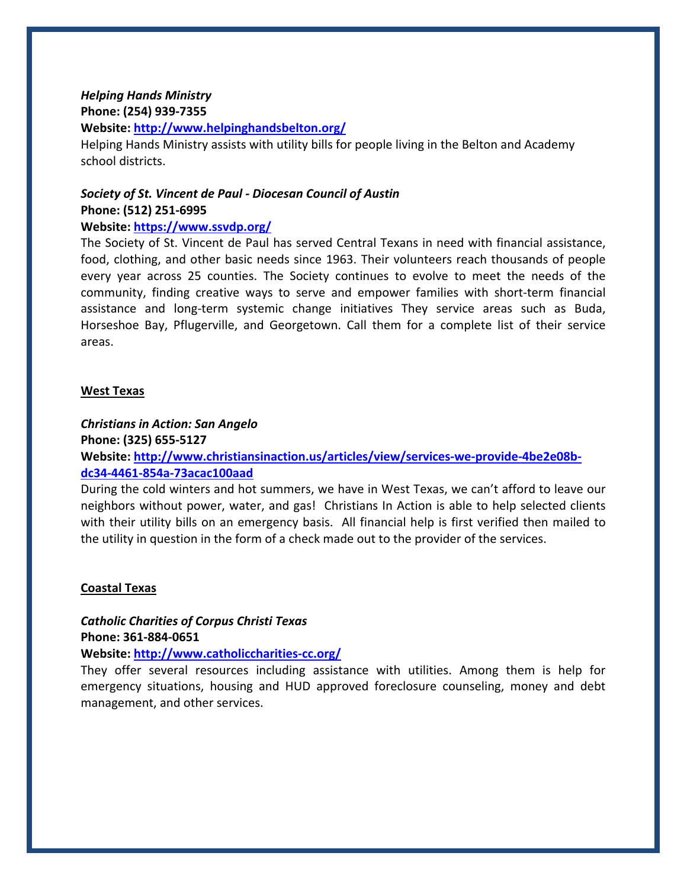## *Helping Hands Ministry* **Phone: (254) 939‐7355 Website: http://www.helpinghandsbelton.org/**

Helping Hands Ministry assists with utility bills for people living in the Belton and Academy school districts.

# *Society of St. Vincent de Paul ‐ Diocesan Council of Austin* **Phone: (512) 251‐6995**

## **Website: https://www.ssvdp.org/**

The Society of St. Vincent de Paul has served Central Texans in need with financial assistance, food, clothing, and other basic needs since 1963. Their volunteers reach thousands of people every year across 25 counties. The Society continues to evolve to meet the needs of the community, finding creative ways to serve and empower families with short‐term financial assistance and long‐term systemic change initiatives They service areas such as Buda, Horseshoe Bay, Pflugerville, and Georgetown. Call them for a complete list of their service areas.

## **West Texas**

*Christians in Action: San Angelo* **Phone: (325) 655‐5127 Website: http://www.christiansinaction.us/articles/view/services‐we‐provide‐4be2e08b‐ dc34‐4461‐854a‐73acac100aad**

During the cold winters and hot summers, we have in West Texas, we can't afford to leave our neighbors without power, water, and gas! Christians In Action is able to help selected clients with their utility bills on an emergency basis. All financial help is first verified then mailed to the utility in question in the form of a check made out to the provider of the services.

# **Coastal Texas**

*Catholic Charities of Corpus Christi Texas*  **Phone: 361‐884‐0651**

**Website: http://www.catholiccharities‐cc.org/**

They offer several resources including assistance with utilities. Among them is help for emergency situations, housing and HUD approved foreclosure counseling, money and debt management, and other services.